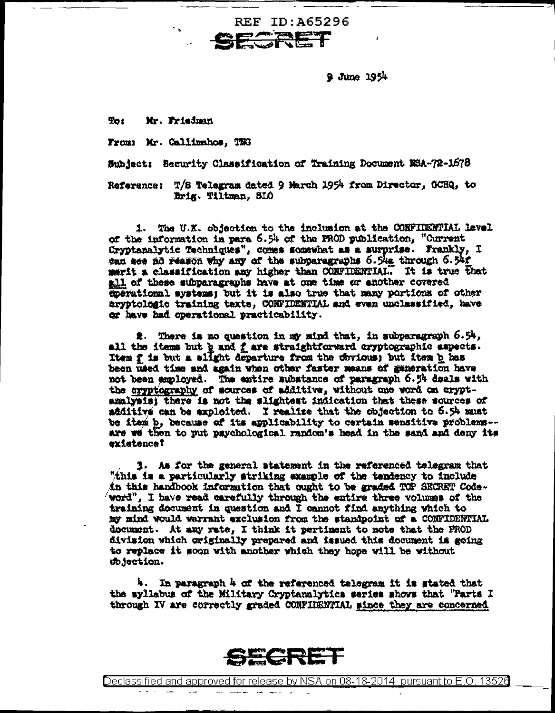$9$  June  $1954$ 

**Tot** Mr. Friedman

From: Mr. Callimahos, TWG

Subject: Security Classification of Training Document NSA-72-1678

REF ID:A65296 FE

Reference: T/S Telegram dated 9 March 1954 from Director, OCHQ, to Brig. Tiltman, SIO

1. The U.K. objection to the inclusion at the CONFIDENTIAL level of the information in para 6.54 of the FROD publication, "Current Cryptanalytic Techniques", comes somewhat as a surprise. Frankly, I can see no reason why any of the subparagraphs 6.54s through 6.54f merit a classification any higher than CONFIDENTIAL. It is true that all of these subparagraphs have at one time or another covered coerational systems; but it is also true that many portions of other aryptologic training texts, CONFIDENTIAL and even unclassified, have or have had operational practicability.

2. There is no question in my mind that, in subparagraph 6.54, all the items but h and f are straightforward cryptographic aspects. Item f is but a slight departure from the chyious; but item b has been used time and again when other faster means of generation have not been amployed. The emtire aubstance of paragraph 6.54 deals with the cryptography of sources of additive, without one word on cryptanalysis; there is not the slightest indication that these sources of additive can be exploited. I realize that the objection to 6.54 must be item b, because of its applicability to certain sensitive problems-are we then to put paychological random's head in the sand and deny its existence?

3. As for the general statement in the referenced telegram that "this is a particularly striking example of the tendency to include in this handbook information that ought to be graded TOP SECRET Codeword", I have read carefully through the entire three volumes of the training document in question and I cannot find anything which to my mind would warrant exclusion from the standpoint of a CONFIDENTIAL document. At any rate, I think it pertinent to note that the PROD division which originally prepared and issued this document is going to replace it soon with another which they hope will be without chjection.

4. In paragraph 4 of the referenced telegram it is stated that the myllabus of the Military Cryptanalytics series shows that "Parts I through IV are correctly graded CONFIDENTIAL since they are concerned